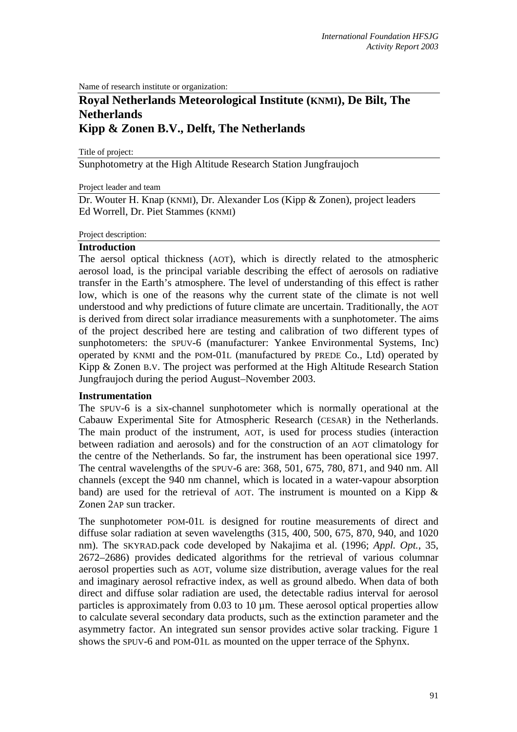Name of research institute or organization:

# **Royal Netherlands Meteorological Institute (KNMI), De Bilt, The Netherlands Kipp & Zonen B.V., Delft, The Netherlands**

Title of project:

Sunphotometry at the High Altitude Research Station Jungfraujoch

Project leader and team

Dr. Wouter H. Knap (KNMI), Dr. Alexander Los (Kipp & Zonen), project leaders Ed Worrell, Dr. Piet Stammes (KNMI)

#### Project description:

### **Introduction**

The aersol optical thickness (AOT), which is directly related to the atmospheric aerosol load, is the principal variable describing the effect of aerosols on radiative transfer in the Earth's atmosphere. The level of understanding of this effect is rather low, which is one of the reasons why the current state of the climate is not well understood and why predictions of future climate are uncertain. Traditionally, the AOT is derived from direct solar irradiance measurements with a sunphotometer. The aims of the project described here are testing and calibration of two different types of sunphotometers: the SPUV-6 (manufacturer: Yankee Environmental Systems, Inc) operated by KNMI and the POM-01L (manufactured by PREDE Co., Ltd) operated by Kipp & Zonen B.V. The project was performed at the High Altitude Research Station Jungfraujoch during the period August–November 2003.

#### **Instrumentation**

The SPUV-6 is a six-channel sunphotometer which is normally operational at the Cabauw Experimental Site for Atmospheric Research (CESAR) in the Netherlands. The main product of the instrument, AOT, is used for process studies (interaction between radiation and aerosols) and for the construction of an AOT climatology for the centre of the Netherlands. So far, the instrument has been operational sice 1997. The central wavelengths of the SPUV-6 are: 368, 501, 675, 780, 871, and 940 nm. All channels (except the 940 nm channel, which is located in a water-vapour absorption band) are used for the retrieval of AOT. The instrument is mounted on a Kipp  $\&$ Zonen 2AP sun tracker.

The sunphotometer POM-01L is designed for routine measurements of direct and diffuse solar radiation at seven wavelengths (315, 400, 500, 675, 870, 940, and 1020 nm). The SKYRAD.pack code developed by Nakajima et al. (1996; *Appl. Opt.*, 35, 2672–2686) provides dedicated algorithms for the retrieval of various columnar aerosol properties such as AOT, volume size distribution, average values for the real and imaginary aerosol refractive index, as well as ground albedo. When data of both direct and diffuse solar radiation are used, the detectable radius interval for aerosol particles is approximately from  $0.03$  to  $10 \mu$ m. These aerosol optical properties allow to calculate several secondary data products, such as the extinction parameter and the asymmetry factor. An integrated sun sensor provides active solar tracking. Figure 1 shows the SPUV-6 and POM-01L as mounted on the upper terrace of the Sphynx.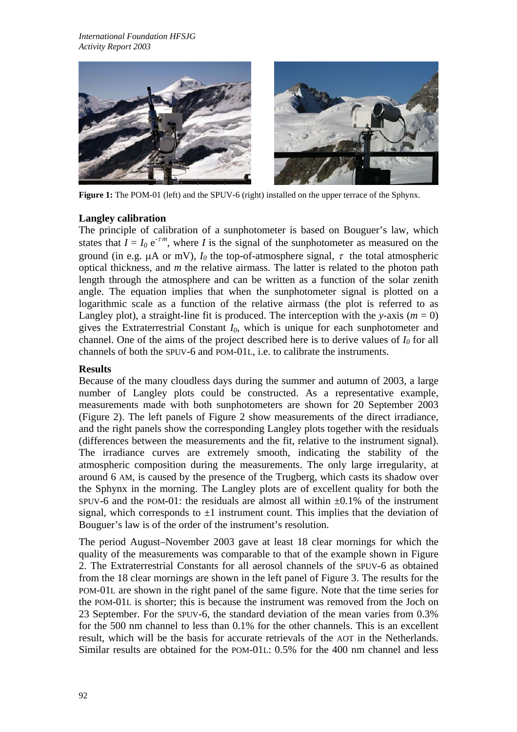

**Figure 1:** The POM-01 (left) and the SPUV-6 (right) installed on the upper terrace of the Sphynx.

# **Langley** calibration

The principle of calibration of a sunphotometer is based on Bouguer's law, which states that  $I = I_0 e^{-\tau m}$ , where *I* is the signal of the sunphotometer as measured on the ground (in e.g.  $\mu$ A or mV),  $I_0$  the top-of-atmosphere signal,  $\tau$  the total atmospheric optical thickness, and *m* the relative airmass. The latter is related to the photon path length through the atmosphere and can be written as a function of the solar zenith angle. The equation implies that when the sunphotometer signal is plotted on a logarithmic scale as a function of the relative airmass (the plot is referred to as Langley plot), a straight-line fit is produced. The interception with the *y*-axis ( $m = 0$ ) gives the Extraterrestrial Constant *I0*, which is unique for each sunphotometer and channel. One of the aims of the project described here is to derive values of  $I_0$  for all channels of both the SPUV-6 and POM-01L, i.e. to calibrate the instruments.

# **Results**

Because of the many cloudless days during the summer and autumn of 2003, a large number of Langley plots could be constructed. As a representative example, measurements made with both sunphotometers are shown for 20 September 2003 (Figure 2). The left panels of Figure 2 show measurements of the direct irradiance, and the right panels show the corresponding Langley plots together with the residuals (differences between the measurements and the fit, relative to the instrument signal). The irradiance curves are extremely smooth, indicating the stability of the atmospheric composition during the measurements. The only large irregularity, at around 6 AM, is caused by the presence of the Trugberg, which casts its shadow over the Sphynx in the morning. The Langley plots are of excellent quality for both the SPUV-6 and the POM-01: the residuals are almost all within  $\pm 0.1\%$  of the instrument signal, which corresponds to  $\pm 1$  instrument count. This implies that the deviation of Bouguer's law is of the order of the instrument's resolution.

The period August–November 2003 gave at least 18 clear mornings for which the quality of the measurements was comparable to that of the example shown in Figure 2. The Extraterrestrial Constants for all aerosol channels of the SPUV-6 as obtained from the 18 clear mornings are shown in the left panel of Figure 3. The results for the POM-01L are shown in the right panel of the same figure. Note that the time series for the POM-01L is shorter; this is because the instrument was removed from the Joch on 23 September. For the SPUV-6, the standard deviation of the mean varies from 0.3% for the 500 nm channel to less than 0.1% for the other channels. This is an excellent result, which will be the basis for accurate retrievals of the AOT in the Netherlands. Similar results are obtained for the POM-01L: 0.5% for the 400 nm channel and less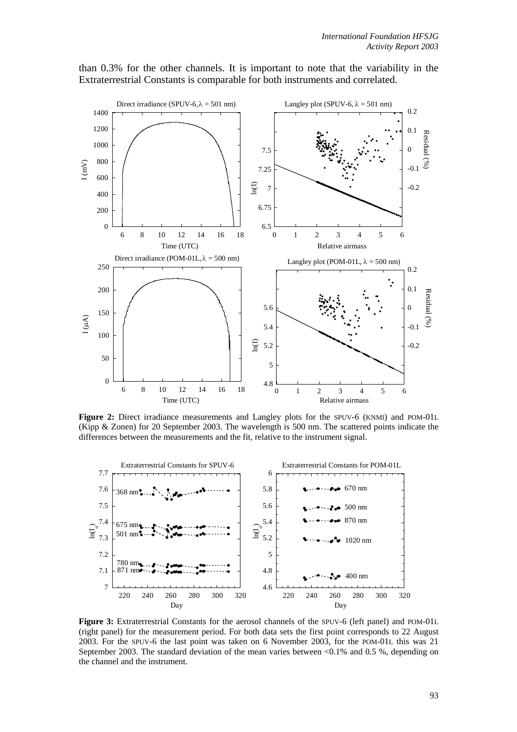

than 0.3% for the other channels. It is important to note that the variability in the Extraterrestrial Constants is comparable for both instruments and correlated.

**Figure 2:** Direct irradiance measurements and Langley plots for the SPUV-6 (KNMI) and POM-01L (Kipp & Zonen) for 20 September 2003. The wavelength is 500 nm. The scattered points indicate the differences between the measurements and the fit, relative to the instrument signal.



**Figure 3:** Extraterrestrial Constants for the aerosol channels of the SPUV-6 (left panel) and POM-01L (right panel) for the measurement period. For both data sets the first point corresponds to 22 August 2003. For the SPUV-6 the last point was taken on 6 November 2003, for the POM-01L this was 21 September 2003. The standard deviation of the mean varies between <0.1% and 0.5 %, depending on the channel and the instrument.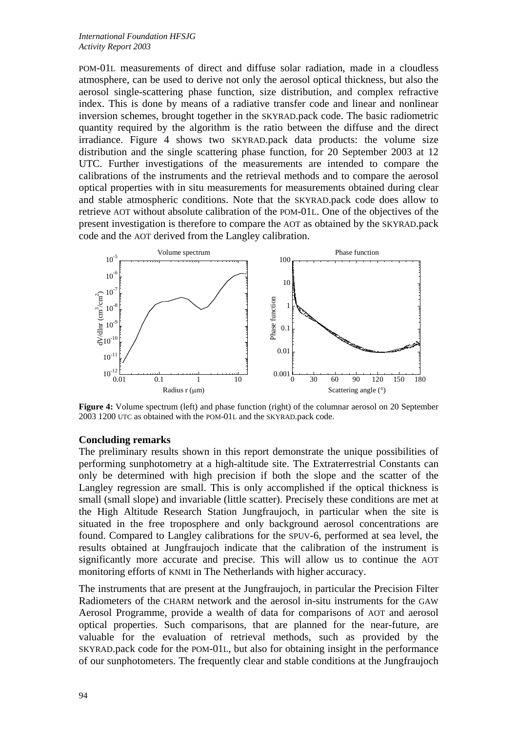POM-01L measurements of direct and diffuse solar radiation, made in a cloudless atmosphere, can be used to derive not only the aerosol optical thickness, but also the aerosol single-scattering phase function, size distribution, and complex refractive index. This is done by means of a radiative transfer code and linear and nonlinear inversion schemes, brought together in the SKYRAD.pack code. The basic radiometric quantity required by the algorithm is the ratio between the diffuse and the direct irradiance. Figure 4 shows two SKYRAD.pack data products: the volume size distribution and the single scattering phase function, for 20 September 2003 at 12 UTC. Further investigations of the measurements are intended to compare the calibrations of the instruments and the retrieval methods and to compare the aerosol optical properties with in situ measurements for measurements obtained during clear and stable atmospheric conditions. Note that the SKYRAD.pack code does allow to retrieve AOT without absolute calibration of the POM-01L. One of the objectives of the present investigation is therefore to compare the AOT as obtained by the SKYRAD.pack code and the AOT derived from the Langley calibration.



**Figure 4:** Volume spectrum (left) and phase function (right) of the columnar aerosol on 20 September 2003 1200 UTC as obtained with the POM-01L and the SKYRAD.pack code.

### **Concluding remarks**

The preliminary results shown in this report demonstrate the unique possibilities of performing sunphotometry at a high-altitude site. The Extraterrestrial Constants can only be determined with high precision if both the slope and the scatter of the Langley regression are small. This is only accomplished if the optical thickness is small (small slope) and invariable (little scatter). Precisely these conditions are met at the High Altitude Research Station Jungfraujoch, in particular when the site is situated in the free troposphere and only background aerosol concentrations are found. Compared to Langley calibrations for the SPUV-6, performed at sea level, the results obtained at Jungfraujoch indicate that the calibration of the instrument is significantly more accurate and precise. This will allow us to continue the AOT monitoring efforts of KNMI in The Netherlands with higher accuracy.

The instruments that are present at the Jungfraujoch, in particular the Precision Filter Radiometers of the CHARM network and the aerosol in-situ instruments for the GAW Aerosol Programme, provide a wealth of data for comparisons of AOT and aerosol optical properties. Such comparisons, that are planned for the near-future, are valuable for the evaluation of retrieval methods, such as provided by the SKYRAD.pack code for the POM-01L, but also for obtaining insight in the performance of our sunphotometers. The frequently clear and stable conditions at the Jungfraujoch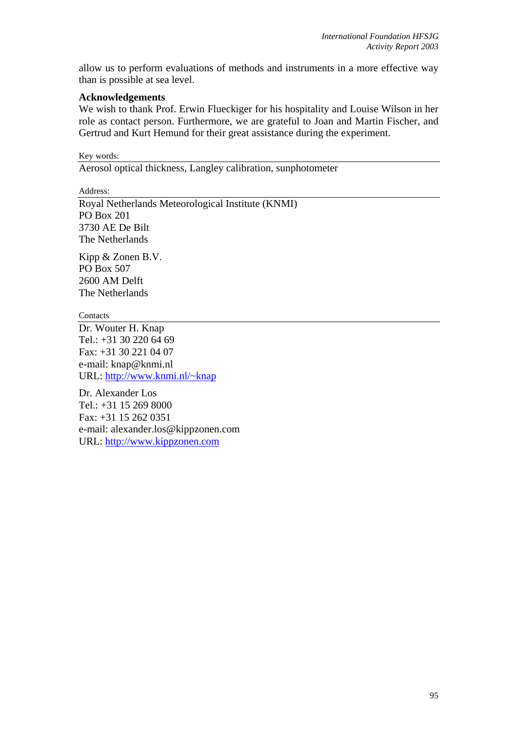allow us to perform evaluations of methods and instruments in a more effective way than is possible at sea level.

### **Acknowledgements**

We wish to thank Prof. Erwin Flueckiger for his hospitality and Louise Wilson in her role as contact person. Furthermore, we are grateful to Joan and Martin Fischer, and Gertrud and Kurt Hemund for their great assistance during the experiment.

Key words: Aerosol optical thickness, Langley calibration, sunphotometer

Address:

Royal Netherlands Meteorological Institute (KNMI) PO Box 201 3730 AE De Bilt The Netherlands

Kipp & Zonen B.V. PO Box 507 2600 AM Delft The Netherlands

**Contacts** 

Dr. Wouter H. Knap Tel.: +31 30 220 64 69 Fax: +31 30 221 04 07 e-mail: knap@knmi.nl URL: <http://www.knmi.nl/~knap>

Dr. Alexander Los Tel.: +31 15 269 8000 Fax: +31 15 262 0351 e-mail: alexander.los@kippzonen.com URL: [http://www.kippzonen.com](http://www.kippzonen.com/)